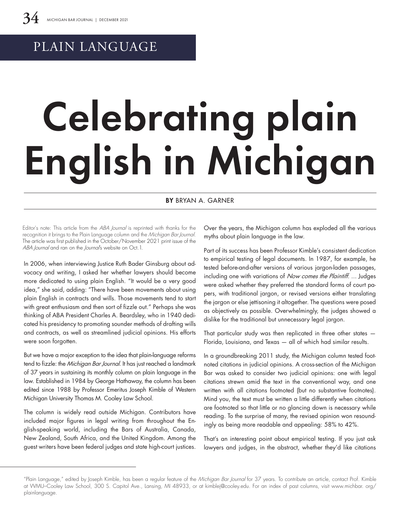## PLAIN LANGUAGE

# Celebrating plain English in Michigan

#### BY BRYAN A. GARNER

Editor's note: This article from the ABA Journal is reprinted with thanks for the recognition it brings to the Plain Language column and the Michigan Bar Journal. The article was first published in the October/November 2021 print issue of the ABA Journal and ran on the Journal's website on Oct.1.

In 2006, when interviewing Justice Ruth Bader Ginsburg about advocacy and writing, I asked her whether lawyers should become more dedicated to using plain English. "It would be a very good idea," she said, adding: "There have been movements about using plain English in contracts and wills. Those movements tend to start with great enthusiasm and then sort of fizzle out." Perhaps she was thinking of ABA President Charles A. Beardsley, who in 1940 dedicated his presidency to promoting sounder methods of drafting wills and contracts, as well as streamlined judicial opinions. His efforts were soon forgotten.

But we have a major exception to the idea that plain-language reforms tend to fizzle: the Michigan Bar Journal. It has just reached a landmark of 37 years in sustaining its monthly column on plain language in the law. Established in 1984 by George Hathaway, the column has been edited since 1988 by Professor Emeritus Joseph Kimble of Western Michigan University Thomas M. Cooley Law School.

The column is widely read outside Michigan. Contributors have included major figures in legal writing from throughout the English-speaking world, including the Bars of Australia, Canada, New Zealand, South Africa, and the United Kingdom. Among the guest writers have been federal judges and state high-court justices.

Over the years, the Michigan column has exploded all the various myths about plain language in the law.

Part of its success has been Professor Kimble's consistent dedication to empirical testing of legal documents. In 1987, for example, he tested before-and-after versions of various jargon-laden passages, including one with variations of Now comes the Plaintiff. ... Judges were asked whether they preferred the standard forms of court papers, with traditional jargon, or revised versions either translating the jargon or else jettisoning it altogether. The questions were posed as objectively as possible. Overwhelmingly, the judges showed a dislike for the traditional but unnecessary legal jargon.

That particular study was then replicated in three other states — Florida, Louisiana, and Texas — all of which had similar results.

In a groundbreaking 2011 study, the Michigan column tested footnoted citations in judicial opinions. A cross-section of the Michigan Bar was asked to consider two judicial opinions: one with legal citations strewn amid the text in the conventional way, and one written with all citations footnoted (but no substantive footnotes). Mind you, the text must be written a little differently when citations are footnoted so that little or no glancing down is necessary while reading. To the surprise of many, the revised opinion won resoundingly as being more readable and appealing: 58% to 42%.

That's an interesting point about empirical testing. If you just ask lawyers and judges, in the abstract, whether they'd like citations

<sup>&</sup>quot;Plain Language," edited by Joseph Kimble, has been a regular feature of the Michigan Bar Journal for 37 years. To contribute an article, contact Prof. Kimble at WMU–Cooley Law School, 300 S. Capitol Ave., Lansing, MI 48933, or at kimblej@cooley.edu. For an index of past columns, visit www.michbar. org/ plainlanguage.